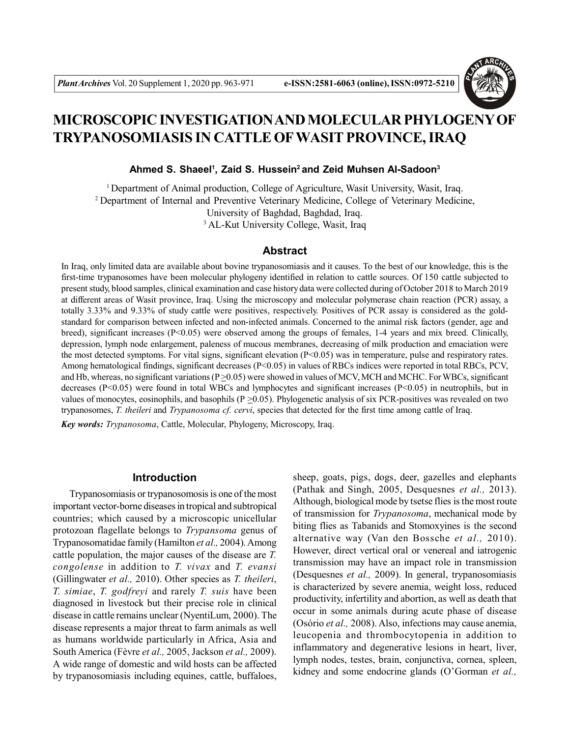

# **MICROSCOPIC INVESTIGATION AND MOLECULAR PHYLOGENY OF TRYPANOSOMIASIS IN CATTLE OFWASIT PROVINCE, IRAQ**

**Ahmed S. Shaeel<sup>1</sup> , Zaid S. Hussein<sup>2</sup>and Zeid Muhsen Al-Sadoon<sup>3</sup>**

<sup>1</sup> Department of Animal production, College of Agriculture, Wasit University, Wasit, Iraq. <sup>2</sup>Department of Internal and Preventive Veterinary Medicine, College of Veterinary Medicine, University of Baghdad, Baghdad, Iraq. <sup>3</sup> AL-Kut University College, Wasit, Iraq

# **Abstract**

In Iraq, only limited data are available about bovine trypanosomiasis and it causes. To the best of our knowledge, this is the first-time trypanosomes have been molecular phylogeny identified in relation to cattle sources. Of 150 cattle subjected to present study, blood samples, clinical examination and case history data were collected during of October 2018 to March 2019 at different areas of Wasit province, Iraq. Using the microscopy and molecular polymerase chain reaction (PCR) assay, a totally 3.33% and 9.33% of study cattle were positives, respectively. Positives of PCR assay is considered as the goldstandard for comparison between infected and non-infected animals. Concerned to the animal risk factors (gender, age and breed), significant increases ( $P<0.05$ ) were observed among the groups of females, 1-4 years and mix breed. Clinically, depression, lymph node enlargement, paleness of mucous membranes, decreasing of milk production and emaciation were the most detected symptoms. For vital signs, significant elevation (P<0.05) was in temperature, pulse and respiratory rates. Among hematological findings, significant decreases  $(P< 0.05)$  in values of RBCs indices were reported in total RBCs, PCV, and Hb, whereas, no significant variations  $(P > 0.05)$  were showed in values of MCV, MCH and MCHC. For WBCs, significant decreases (P<0.05) were found in total WBCs and lymphocytes and significant increases (P<0.05) in neutrophils, but in values of monocytes, eosinophils, and basophils ( $P \ge 0.05$ ). Phylogenetic analysis of six PCR-positives was revealed on two trypanosomes, *T. theileri* and *Trypanosoma cf. cervi*, species that detected for the first time among cattle of Iraq.

*Key words: Trypanosoma*, Cattle, Molecular, Phylogeny, Microscopy, Iraq.

## **Introduction**

Trypanosomiasis or trypanosomosis is one of the most important vector-borne diseases in tropical and subtropical countries; which caused by a microscopic unicellular protozoan flagellate belongs to *Trypansoma* genus of Trypanosomatidae family (Hamilton *et al.,* 2004). Among cattle population, the major causes of the disease are *T. congolense* in addition to *T. vivax* and *T. evansi* (Gillingwater *et al.,* 2010). Other species as *T. theileri*, *T. simiae*, *T. godfreyi* and rarely *T. suis* have been diagnosed in livestock but their precise role in clinical disease in cattle remains unclear (NyentiLum, 2000). The disease represents a major threat to farm animals as well as humans worldwide particularly in Africa, Asia and South America (Fèvre *et al.,* 2005, Jackson *et al.,* 2009). A wide range of domestic and wild hosts can be affected by trypanosomiasis including equines, cattle, buffaloes,

sheep, goats, pigs, dogs, deer, gazelles and elephants (Pathak and Singh, 2005, Desquesnes *et al.,* 2013). Although, biological mode by tsetse flies is the most route of transmission for *Trypanosoma*, mechanical mode by biting flies as Tabanids and Stomoxyines is the second alternative way (Van den Bossche *et al.,* 2010). However, direct vertical oral or venereal and iatrogenic transmission may have an impact role in transmission (Desquesnes *et al.,* 2009). In general, trypanosomiasis is characterized by severe anemia, weight loss, reduced productivity, infertility and abortion, as well as death that occur in some animals during acute phase of disease (Osório *et al.,* 2008). Also, infections may cause anemia, leucopenia and thrombocytopenia in addition to inflammatory and degenerative lesions in heart, liver, lymph nodes, testes, brain, conjunctiva, cornea, spleen, kidney and some endocrine glands (O'Gorman *et al.,*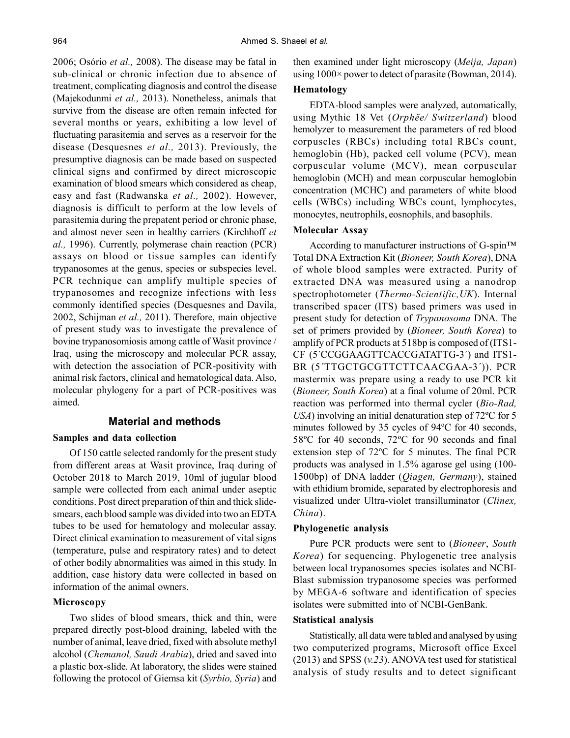2006; Osório *et al.,* 2008). The disease may be fatal in sub-clinical or chronic infection due to absence of treatment, complicating diagnosis and control the disease (Majekodunmi *et al.,* 2013). Nonetheless, animals that survive from the disease are often remain infected for several months or years, exhibiting a low level of fluctuating parasitemia and serves as a reservoir for the disease (Desquesnes *et al.,* 2013). Previously, the presumptive diagnosis can be made based on suspected clinical signs and confirmed by direct microscopic examination of blood smears which considered as cheap, easy and fast (Radwanska *et al.,* 2002). However, diagnosis is difficult to perform at the low levels of parasitemia during the prepatent period or chronic phase, and almost never seen in healthy carriers (Kirchhoff *et al.,* 1996). Currently, polymerase chain reaction (PCR) assays on blood or tissue samples can identify trypanosomes at the genus, species or subspecies level. PCR technique can amplify multiple species of trypanosomes and recognize infections with less commonly identified species (Desquesnes and Davila, 2002, Schijman *et al.,* 2011). Therefore, main objective of present study was to investigate the prevalence of bovine trypanosomiosis among cattle of Wasit province / Iraq, using the microscopy and molecular PCR assay, with detection the association of PCR-positivity with animal risk factors, clinical and hematological data. Also, molecular phylogeny for a part of PCR-positives was aimed.

# **Material and methods**

## **Samples and data collection**

Of 150 cattle selected randomly for the present study from different areas at Wasit province, Iraq during of October 2018 to March 2019, 10ml of jugular blood sample were collected from each animal under aseptic conditions. Post direct preparation of thin and thick slidesmears, each blood sample was divided into two an EDTA tubes to be used for hematology and molecular assay. Direct clinical examination to measurement of vital signs (temperature, pulse and respiratory rates) and to detect of other bodily abnormalities was aimed in this study. In addition, case history data were collected in based on information of the animal owners.

### **Microscopy**

Two slides of blood smears, thick and thin, were prepared directly post-blood draining, labeled with the number of animal, leave dried, fixed with absolute methyl alcohol (*Chemanol, Saudi Arabia*), dried and saved into a plastic box-slide. At laboratory, the slides were stained following the protocol of Giemsa kit (*Syrbio, Syria*) and then examined under light microscopy (*Meija, Japan*) using 1000× power to detect of parasite (Bowman, 2014).

# **Hematology**

EDTA-blood samples were analyzed, automatically, using Mythic 18 Vet (*Orphëe/ Switzerland*) blood hemolyzer to measurement the parameters of red blood corpuscles (RBCs) including total RBCs count, hemoglobin (Hb), packed cell volume (PCV), mean corpuscular volume (MCV), mean corpuscular hemoglobin (MCH) and mean corpuscular hemoglobin concentration (MCHC) and parameters of white blood cells (WBCs) including WBCs count, lymphocytes, monocytes, neutrophils, eosnophils, and basophils.

## **Molecular Assay**

According to manufacturer instructions of G-spin™ Total DNA Extraction Kit (*Bioneer, South Korea*), DNA of whole blood samples were extracted. Purity of extracted DNA was measured using a nanodrop spectrophotometer (*Thermo-Scientific,UK*). Internal transcribed spacer (ITS) based primers was used in present study for detection of *Trypanosoma* DNA. The set of primers provided by (*Bioneer, South Korea*) to amplify of PCR products at 518bp is composed of (ITS1- CF (5´CCGGAAGTTCACCGATATTG-3´) and ITS1- BR (5<sup>TTGCTGCGTTCTTCAACGAA-3<sup>'</sup>)). PCR</sup> mastermix was prepare using a ready to use PCR kit (*Bioneer, South Korea*) at a final volume of 20ml. PCR reaction was performed into thermal cycler (*Bio-Rad, USA*) involving an initial denaturation step of 72ºC for 5 minutes followed by 35 cycles of 94ºC for 40 seconds, 58ºC for 40 seconds, 72ºC for 90 seconds and final extension step of 72ºC for 5 minutes. The final PCR products was analysed in 1.5% agarose gel using (100- 1500bp) of DNA ladder (*Qiagen, Germany*), stained with ethidium bromide, separated by electrophoresis and visualized under Ultra-violet transilluminator (*Clinex, China*).

#### **Phylogenetic analysis**

Pure PCR products were sent to (*Bioneer*, *South Korea*) for sequencing. Phylogenetic tree analysis between local trypanosomes species isolates and NCBI-Blast submission trypanosome species was performed by MEGA-6 software and identification of species isolates were submitted into of NCBI-GenBank.

# **Statistical analysis**

Statistically, all data were tabled and analysed by using two computerized programs, Microsoft office Excel (2013) and SPSS (*v.23*). ANOVA test used for statistical analysis of study results and to detect significant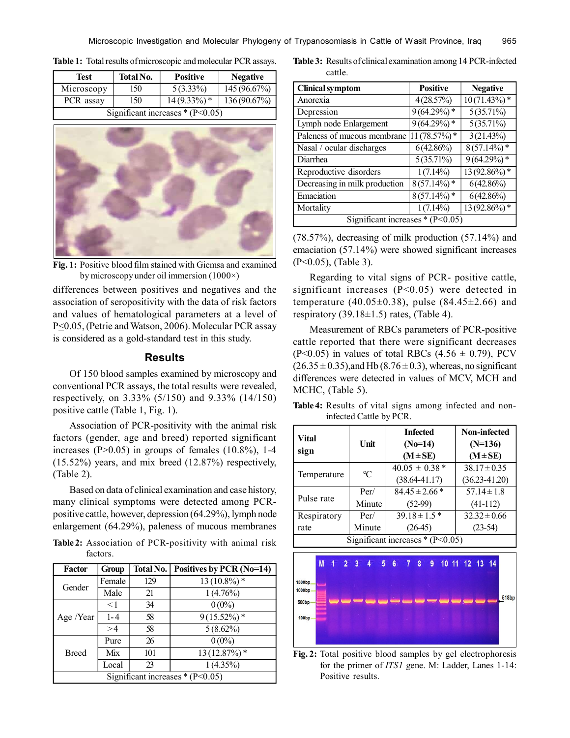**Table 1:** Total results of microscopic and molecular PCR assays.

| Test                              | <b>Total No.</b> | <b>Positive</b> | <b>Negative</b> |
|-----------------------------------|------------------|-----------------|-----------------|
| Microscopy                        | 150              | $5(3.33\%)$     | 145 (96.67%)    |
| PCR assay                         | 150              | $14(9.33\%)*$   | 136(90.67%)     |
| Significant increases $*(P<0.05)$ |                  |                 |                 |



**Fig. 1:** Positive blood film stained with Giemsa and examined by microscopy under oil immersion (1000×)

differences between positives and negatives and the association of seropositivity with the data of risk factors and values of hematological parameters at a level of P<0.05, (Petrie and Watson, 2006). Molecular PCR assay is considered as a gold-standard test in this study.

## **Results**

Of 150 blood samples examined by microscopy and conventional PCR assays, the total results were revealed, respectively, on 3.33% (5/150) and 9.33% (14/150) positive cattle (Table 1, Fig. 1).

Association of PCR-positivity with the animal risk factors (gender, age and breed) reported significant increases ( $P>0.05$ ) in groups of females (10.8%), 1-4 (15.52%) years, and mix breed (12.87%) respectively, (Table 2).

Based on data of clinical examination and case history, many clinical symptoms were detected among PCRpositive cattle, however, depression (64.29%), lymph node enlargement (64.29%), paleness of mucous membranes

**Table 2:** Association of PCR-positivity with animal risk factors.

| Factor                            | Group    | Total No. | Positives by PCR (No=14) |
|-----------------------------------|----------|-----------|--------------------------|
| Gender                            | Female   | 129       | $13(10.8\%)*$            |
|                                   | Male     | 21        | $1(4.76\%)$              |
| Age /Year                         | $\leq$ 1 | 34        | $0(0\%)$                 |
|                                   | $1 - 4$  | 58        | $9(15.52\%)*$            |
|                                   | >4       | 58        | $5(8.62\%)$              |
| <b>Breed</b>                      | Pure     | 26        | $0(0\%)$                 |
|                                   | Mix      | 101       | $13(12.87\%)$ *          |
|                                   | Local    | 23        | $1(4.35\%)$              |
| Significant increases $*(P<0.05)$ |          |           |                          |

**Table 3:** Results of clinical examination among 14 PCR-infected cattle.

| <b>Clinical symptom</b>           | <b>Positive</b> | <b>Negative</b>            |  |  |
|-----------------------------------|-----------------|----------------------------|--|--|
| Anorexia                          | 4(28.57%)       | $10(71.43\%)*$             |  |  |
| Depression                        | $9(64.29\%)*$   | $5(35.71\%)$               |  |  |
| Lymph node Enlargement            | $9(64.29\%)*$   | $5(35.71\%)$               |  |  |
| Paleness of mucous membrane       | $11(78.57%)$ *  | 3(21.43%)                  |  |  |
| Nasal / ocular discharges         | 6(42.86%)       | $8(57.14\%)*$              |  |  |
| Diarrhea                          | $5(35.71\%)$    | $9(64.29%)$ *              |  |  |
| Reproductive disorders            | $1(7.14\%)$     | $\overline{13(92.86\%)}$ * |  |  |
| Decreasing in milk production     | $8(57.14\%)*$   | 6(42.86%)                  |  |  |
| Emaciation                        | $8(57.14\%)*$   | 6(42.86%)                  |  |  |
| Mortality                         | $1(7.14\%)$     | 13 (92.86%) *              |  |  |
| Significant increases $*(P<0.05)$ |                 |                            |  |  |

(78.57%), decreasing of milk production (57.14%) and emaciation (57.14%) were showed significant increases (P<0.05), (Table 3).

Regarding to vital signs of PCR- positive cattle, significant increases  $(P<0.05)$  were detected in temperature (40.05 $\pm$ 0.38), pulse (84.45 $\pm$ 2.66) and respiratory  $(39.18 \pm 1.5)$  rates, (Table 4).

Measurement of RBCs parameters of PCR-positive cattle reported that there were significant decreases  $(P<0.05)$  in values of total RBCs  $(4.56 \pm 0.79)$ , PCV  $(26.35 \pm 0.35)$ , and Hb  $(8.76 \pm 0.3)$ , whereas, no significant differences were detected in values of MCV, MCH and MCHC, (Table 5).

**Table 4:** Results of vital signs among infected and noninfected Cattle by PCR.

| Vital<br>sign                     | Unit          | <b>Infected</b><br>$(No=14)$<br>$(M \pm SE)$ | <b>Non-infected</b><br>$(N=136)$<br>$(M \pm SE)$ |
|-----------------------------------|---------------|----------------------------------------------|--------------------------------------------------|
| Temperature                       | $\mathcal{C}$ | $40.05 \pm 0.38$ *                           | $38.17 \pm 0.35$                                 |
|                                   |               | $(38.64 - 41.17)$                            | $(36.23 - 41.20)$                                |
| Pulse rate                        | Per/          | $84.45 \pm 2.66*$                            | $57.14 \pm 1.8$                                  |
|                                   | Minute        | $(52-99)$                                    | $(41-112)$                                       |
| Respiratory                       | Per/          | $39.18 \pm 1.5$ *                            | $32.32 \pm 0.66$                                 |
| rate                              | Minute        | $(26-45)$                                    | $(23-54)$                                        |
| Significant increases $*(P<0.05)$ |               |                                              |                                                  |



**Fig. 2:** Total positive blood samples by gel electrophoresis for the primer of *ITS1* gene. M: Ladder, Lanes 1-14: Positive results.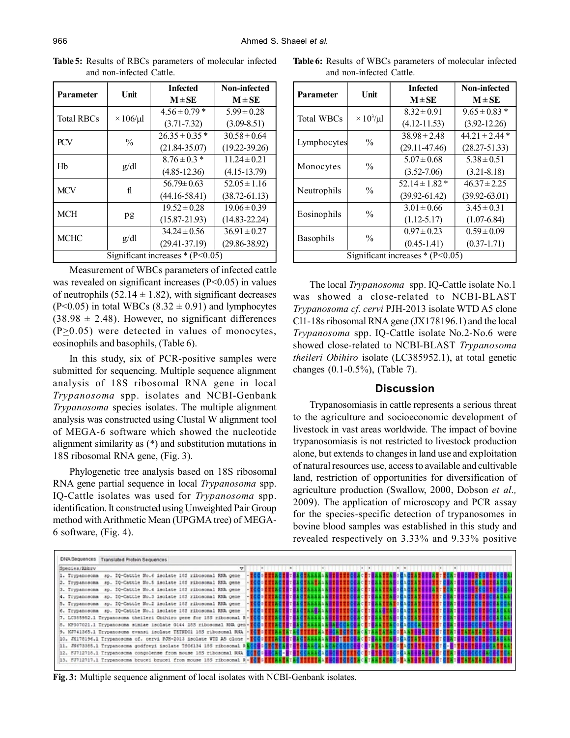| <b>Parameter</b>                  | Unit            | <b>Infected</b><br>$M \pm SE$ | Non-infected<br>$M \pm S E$ |
|-----------------------------------|-----------------|-------------------------------|-----------------------------|
| <b>Total RBCs</b>                 | $\times$ 106/µl | $4.56 \pm 0.79$ *             | $5.99 \pm 0.28$             |
|                                   |                 | $(3.71 - 7.32)$               | $(3.09 - 8.51)$             |
| <b>PCV</b>                        | $\frac{0}{0}$   | $26.35 \pm 0.35$ *            | $30.58 \pm 0.64$            |
|                                   |                 | $(21.84 - 35.07)$             | $(19.22 - 39.26)$           |
| Hb                                | g/dl            | $8.76 \pm 0.3*$               | $11.24 \pm 0.21$            |
|                                   |                 | $(4.85 - 12.36)$              | $(4.15 - 13.79)$            |
| <b>MCV</b>                        | fl              | $56.79 \pm 0.63$              | $52.05 \pm 1.16$            |
|                                   |                 | $(44.16 - 58.41)$             | $(38.72 - 61.13)$           |
| <b>MCH</b>                        | pg              | $19.52 \pm 0.28$              | $19.06 \pm 0.39$            |
|                                   |                 | $(15.87 - 21.93)$             | $(14.83 - 22.24)$           |
| <b>MCHC</b>                       | g/dl            | $34.24 \pm 0.56$              | $36.91 \pm 0.27$            |
|                                   |                 | $(29.41 - 37.19)$             | $(29.86 - 38.92)$           |
| Significant increases $*(P<0.05)$ |                 |                               |                             |

**Table 5:** Results of RBCs parameters of molecular infected and non-infected Cattle.

Measurement of WBCs parameters of infected cattle was revealed on significant increases (P<0.05) in values of neutrophils (52.14  $\pm$  1.82), with significant decreases  $(P<0.05)$  in total WBCs  $(8.32 \pm 0.91)$  and lymphocytes  $(38.98 \pm 2.48)$ . However, no significant differences  $(P>0.05)$  were detected in values of monocytes, eosinophils and basophils, (Table 6).

In this study, six of PCR-positive samples were submitted for sequencing. Multiple sequence alignment analysis of 18S ribosomal RNA gene in local *Trypanosoma* spp. isolates and NCBI-Genbank *Trypanosoma* species isolates. The multiple alignment analysis was constructed using Clustal W alignment tool of MEGA-6 software which showed the nucleotide alignment similarity as (\*) and substitution mutations in 18S ribosomal RNA gene, (Fig. 3).

Phylogenetic tree analysis based on 18S ribosomal RNA gene partial sequence in local *Trypanosoma* spp. IQ-Cattle isolates was used for *Trypanosoma* spp. identification. It constructed using Unweighted Pair Group method with Arithmetic Mean (UPGMA tree) of MEGA-6 software, (Fig. 4).

**Table 6:** Results of WBCs parameters of molecular infected and non-infected Cattle.

| <b>Parameter</b>                  | Unit                | <b>Infected</b>    | Non-infected       |  |
|-----------------------------------|---------------------|--------------------|--------------------|--|
|                                   |                     | $M \pm SE$         | $M \pm SE$         |  |
| <b>Total WBCs</b>                 | $\times 10^3/\mu l$ | $8.32 \pm 0.91$    | $9.65 \pm 0.83$ *  |  |
|                                   |                     | $(4.12 - 11.53)$   | $(3.92 - 12.26)$   |  |
| Lymphocytes                       | $\frac{0}{0}$       | $38.98 \pm 2.48$   | $44.21 \pm 2.44$ * |  |
|                                   |                     | $(29.11 - 47.46)$  | $(28.27 - 51.33)$  |  |
| Monocytes                         | $\frac{0}{0}$       | $5.07 \pm 0.68$    | $5.38 \pm 0.51$    |  |
|                                   |                     | $(3.52 - 7.06)$    | $(3.21 - 8.18)$    |  |
| Neutrophils                       | $\frac{0}{0}$       | $52.14 \pm 1.82$ * | $46.37 \pm 2.25$   |  |
|                                   |                     | $(39.92 - 61.42)$  | $(39.92 - 63.01)$  |  |
| Eosinophils                       | $\frac{0}{0}$       | $3.01 \pm 0.66$    | $3.45 \pm 0.31$    |  |
|                                   |                     | $(1.12 - 5.17)$    | $(1.07-6.84)$      |  |
| <b>Basophils</b>                  | $\frac{0}{0}$       | $0.97 \pm 0.23$    | $0.59 \pm 0.09$    |  |
|                                   |                     | $(0.45 - 1.41)$    | $(0.37 - 1.71)$    |  |
| Significant increases $*(P<0.05)$ |                     |                    |                    |  |

The local *Trypanosoma* spp. IQ-Cattle isolate No.1 was showed a close-related to NCBI-BLAST *Trypanosoma cf. cervi* PJH-2013 isolate WTD A5 clone Cl1-18s ribosomal RNA gene (JX178196.1) and the local *Trypanosoma* spp. IQ-Cattle isolate No.2-No.6 were showed close-related to NCBI-BLAST *Trypanosoma theileri Obihiro* isolate (LC385952.1), at total genetic changes (0.1-0.5%), (Table 7).

# **Discussion**

Trypanosomiasis in cattle represents a serious threat to the agriculture and socioeconomic development of livestock in vast areas worldwide. The impact of bovine trypanosomiasis is not restricted to livestock production alone, but extends to changes in land use and exploitation of natural resources use, access to available and cultivable land, restriction of opportunities for diversification of agriculture production (Swallow, 2000, Dobson *et al.,* 2009). The application of microscopy and PCR assay for the species-specific detection of trypanosomes in bovine blood samples was established in this study and revealed respectively on 3.33% and 9.33% positive



**Fig. 3:** Multiple sequence alignment of local isolates with NCBI-Genbank isolates.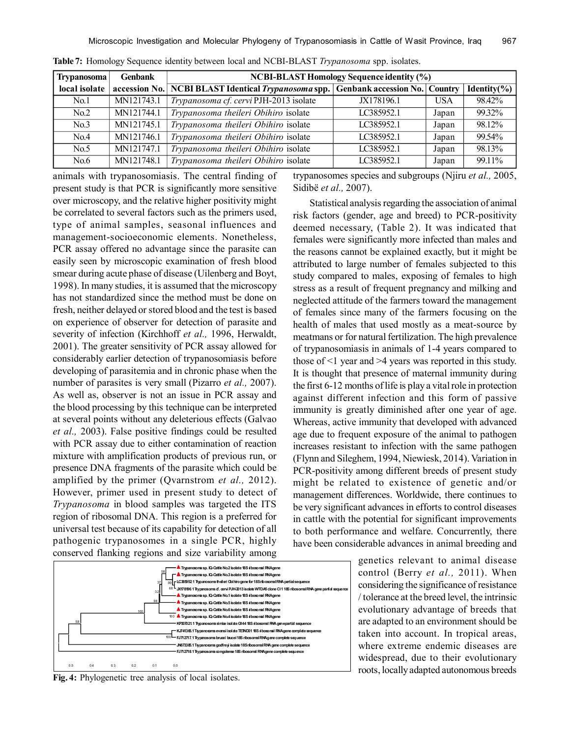| <b>Trypanosoma</b> | <b>Genbank</b> | <b>NCBI-BLAST Homology Sequence identity (%)</b>      |                                      |            |                  |  |
|--------------------|----------------|-------------------------------------------------------|--------------------------------------|------------|------------------|--|
| local isolate      |                | accession No.   NCBI BLAST Identical Trypanosoma spp. | <b>Genbank accession No. Country</b> |            | Identity $(\% )$ |  |
| No.1               | MN121743.1     | Trypanosoma cf. cervi PJH-2013 isolate                | JX178196.1                           | <b>USA</b> | 98.42%           |  |
| No.2               | MN121744.1     | Trypanosoma theileri Obihiro isolate                  | LC385952.1                           | Japan      | 99.32%           |  |
| No.3               | MN121745.1     | Trypanosoma theileri Obihiro isolate                  | LC385952.1                           | Japan      | 98.12%           |  |
| No.4               | MN121746.1     | Trypanosoma theileri Obihiro isolate                  | LC385952.1                           | Japan      | 99.54%           |  |
| No.5               | MN121747.1     | Trypanosoma theileri Obihiro isolate                  | LC385952.1                           | Japan      | 98.13%           |  |
| No.6               | MN121748.1     | Trypanosoma theileri Obihiro isolate                  | LC385952.1                           | Japan      | 99.11%           |  |

**Table 7:** Homology Sequence identity between local and NCBI-BLAST *Trypanosoma* spp. isolates.

animals with trypanosomiasis. The central finding of present study is that PCR is significantly more sensitive over microscopy, and the relative higher positivity might be correlated to several factors such as the primers used, type of animal samples, seasonal influences and management-socioeconomic elements. Nonetheless, PCR assay offered no advantage since the parasite can easily seen by microscopic examination of fresh blood smear during acute phase of disease (Uilenberg and Boyt, 1998). In many studies, it is assumed that the microscopy has not standardized since the method must be done on fresh, neither delayed or stored blood and the test is based on experience of observer for detection of parasite and severity of infection (Kirchhoff *et al.,* 1996, Herwaldt, 2001). The greater sensitivity of PCR assay allowed for considerably earlier detection of trypanosomiasis before developing of parasitemia and in chronic phase when the number of parasites is very small (Pizarro *et al.,* 2007). As well as, observer is not an issue in PCR assay and the blood processing by this technique can be interpreted at several points without any deleterious effects (Galvao *et al.,* 2003). False positive findings could be resulted with PCR assay due to either contamination of reaction mixture with amplification products of previous run, or presence DNA fragments of the parasite which could be amplified by the primer (Qvarnstrom *et al.,* 2012). However, primer used in present study to detect of *Trypanosoma* in blood samples was targeted the ITS region of ribosomal DNA. This region is a preferred for universal test because of its capability for detection of all pathogenic trypanosomes in a single PCR, highly conserved flanking regions and size variability among

**A** Trypanosoma sp. IQ-Cattle No.2 isolate 18S ribos **A** Trypanosomasp. IQ-Cattle No.3 isolate 18S ribosomal **RNAge LC385952.1 Trypanosomatheileri Obihirogenefor18SribosomalRNApartialsequence JX178196.1Trypanosomacf. cerviPJH-2013isolateWTDA5cloneCl118SribosomalRNAgenepartial sequence** 68 **Trypanosomasp. IQ-CattleNo.1isolate18Sribosomal RNAgene Trypanosomasp. IQ-CattleNo.5isolate18Sribosomal RNAgene Trypanosomasp. IQ-CattleNo.6isolate18Sribosomal RNAgene Trypanosomasp. IQ-CattleNo.4isolate18Sribosomal RNAgene KP307021.1 Typanosoma simiae** isolate G144 18S irbosomal RNA gen **KJ741365.1TrypanosomaevansiisolateTETND0118Sribosomal RNAgenecompletesequence FJ712717.1Trypanosomabrucei brucei18SribosomalRNAgenecompletesequence JN673385.1Trypanosomagodfreyi isolate18SribosomalRNAgenecompletesequence FJ712718.1Trypanosomacongolense18Sribosomal RNAgenecompletesequence** 100 ATry 99 100 58 37 32 98 100 58 0.5 0.4 0.3 0.2 0.1 0.0

**Fig. 4:** Phylogenetic tree analysis of local isolates.

trypanosomes species and subgroups (Njiru *et al.,* 2005, Sidibë *et al.,* 2007).

Statistical analysis regarding the association of animal risk factors (gender, age and breed) to PCR-positivity deemed necessary, (Table 2). It was indicated that females were significantly more infected than males and the reasons cannot be explained exactly, but it might be attributed to large number of females subjected to this study compared to males, exposing of females to high stress as a result of frequent pregnancy and milking and neglected attitude of the farmers toward the management of females since many of the farmers focusing on the health of males that used mostly as a meat-source by meatmans or for natural fertilization. The high prevalence of trypanosomiasis in animals of 1-4 years compared to those of <1 year and >4 years was reported in this study. It is thought that presence of maternal immunity during the first 6-12 months of life is play a vital role in protection against different infection and this form of passive immunity is greatly diminished after one year of age. Whereas, active immunity that developed with advanced age due to frequent exposure of the animal to pathogen increases resistant to infection with the same pathogen (Flynn and Sileghem, 1994, Niewiesk, 2014). Variation in PCR-positivity among different breeds of present study might be related to existence of genetic and/or management differences. Worldwide, there continues to be very significant advances in efforts to control diseases in cattle with the potential for significant improvements to both performance and welfare. Concurrently, there have been considerable advances in animal breeding and

> genetics relevant to animal disease control (Berry *et al.,* 2011). When considering the significance of resistance / tolerance at the breed level, the intrinsic evolutionary advantage of breeds that are adapted to an environment should be taken into account. In tropical areas, where extreme endemic diseases are widespread, due to their evolutionary roots, locally adapted autonomous breeds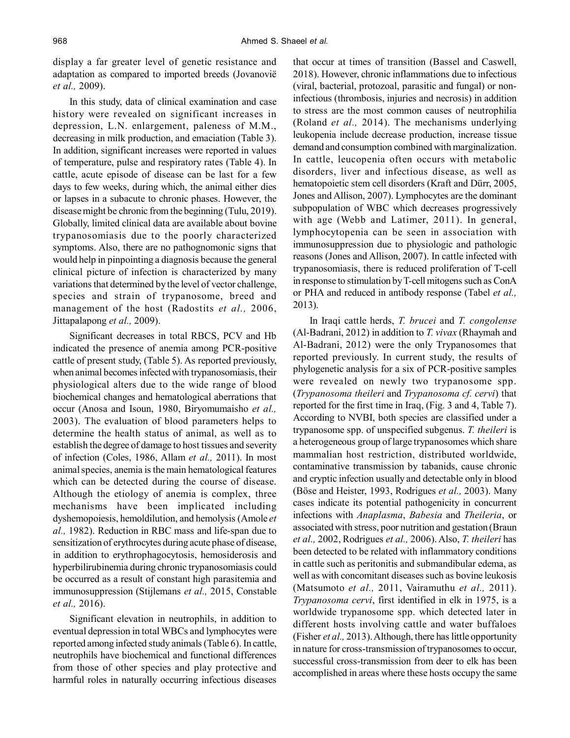display a far greater level of genetic resistance and adaptation as compared to imported breeds (Jovanovië *et al.,* 2009).

In this study, data of clinical examination and case history were revealed on significant increases in depression, L.N. enlargement, paleness of M.M., decreasing in milk production, and emaciation (Table 3). In addition, significant increases were reported in values of temperature, pulse and respiratory rates (Table 4). In cattle, acute episode of disease can be last for a few days to few weeks, during which, the animal either dies or lapses in a subacute to chronic phases. However, the disease might be chronic from the beginning (Tulu, 2019). Globally, limited clinical data are available about bovine trypanosomiasis due to the poorly characterized symptoms. Also, there are no pathognomonic signs that would help in pinpointing a diagnosis because the general clinical picture of infection is characterized by many variations that determined by the level of vector challenge, species and strain of trypanosome, breed and management of the host (Radostits *et al.,* 2006, Jittapalapong *et al.,* 2009).

Significant decreases in total RBCS, PCV and Hb indicated the presence of anemia among PCR-positive cattle of present study, (Table 5). As reported previously, when animal becomes infected with trypanosomiasis, their physiological alters due to the wide range of blood biochemical changes and hematological aberrations that occur (Anosa and Isoun, 1980, Biryomumaisho *et al.,* 2003). The evaluation of blood parameters helps to determine the health status of animal, as well as to establish the degree of damage to host tissues and severity of infection (Coles, 1986, Allam *et al.,* 2011). In most animal species, anemia is the main hematological features which can be detected during the course of disease. Although the etiology of anemia is complex, three mechanisms have been implicated including dyshemopoiesis, hemoldilution, and hemolysis (Amole *et al.,* 1982). Reduction in RBC mass and life-span due to sensitization of erythrocytes during acute phase of disease, in addition to erythrophagocytosis, hemosiderosis and hyperbilirubinemia during chronic trypanosomiasis could be occurred as a result of constant high parasitemia and immunosuppression (Stijlemans *et al.,* 2015, Constable *et al.,* 2016).

Significant elevation in neutrophils, in addition to eventual depression in total WBCs and lymphocytes were reported among infected study animals (Table 6). In cattle, neutrophils have biochemical and functional differences from those of other species and play protective and harmful roles in naturally occurring infectious diseases that occur at times of transition (Bassel and Caswell, 2018). However, chronic inflammations due to infectious (viral, bacterial, protozoal, parasitic and fungal) or noninfectious (thrombosis, injuries and necrosis) in addition to stress are the most common causes of neutrophilia (Roland *et al.,* 2014). The mechanisms underlying leukopenia include decrease production, increase tissue demand and consumption combined with marginalization. In cattle, leucopenia often occurs with metabolic disorders, liver and infectious disease, as well as hematopoietic stem cell disorders (Kraft and Dürr, 2005, Jones and Allison, 2007). Lymphocytes are the dominant subpopulation of WBC which decreases progressively with age (Webb and Latimer, 2011). In general, lymphocytopenia can be seen in association with immunosuppression due to physiologic and pathologic reasons (Jones and Allison, 2007). In cattle infected with trypanosomiasis, there is reduced proliferation of T-cell in response to stimulation by T-cell mitogens such as ConA or PHA and reduced in antibody response (Tabel *et al.,* 2013).

In Iraqi cattle herds, *T. brucei* and *T. congolense* (Al-Badrani, 2012) in addition to *T. vivax* (Rhaymah and Al-Badrani, 2012) were the only Trypanosomes that reported previously. In current study, the results of phylogenetic analysis for a six of PCR-positive samples were revealed on newly two trypanosome spp. (*Trypanosoma theileri* and *Trypanosoma cf. cervi*) that reported for the first time in Iraq, (Fig. 3 and 4, Table 7). According to NVBI, both species are classified under a trypanosome spp. of unspecified subgenus. *T. theileri* is a heterogeneous group of large trypanosomes which share mammalian host restriction, distributed worldwide, contaminative transmission by tabanids, cause chronic and cryptic infection usually and detectable only in blood (Böse and Heister, 1993, Rodrigues *et al.,* 2003). Many cases indicate its potential pathogenicity in concurrent infections with *Anaplasma*, *Babesia* and *Theileria*, or associated with stress, poor nutrition and gestation (Braun *et al.,* 2002, Rodrigues *et al.,* 2006). Also, *T. theileri* has been detected to be related with inflammatory conditions in cattle such as peritonitis and submandibular edema, as well as with concomitant diseases such as bovine leukosis (Matsumoto *et al.,* 2011, Vairamuthu *et al.,* 2011). *Trypanosoma cervi*, first identified in elk in 1975, is a worldwide trypanosome spp. which detected later in different hosts involving cattle and water buffaloes (Fisher *et al.,* 2013). Although, there has little opportunity in nature for cross-transmission of trypanosomes to occur, successful cross-transmission from deer to elk has been accomplished in areas where these hosts occupy the same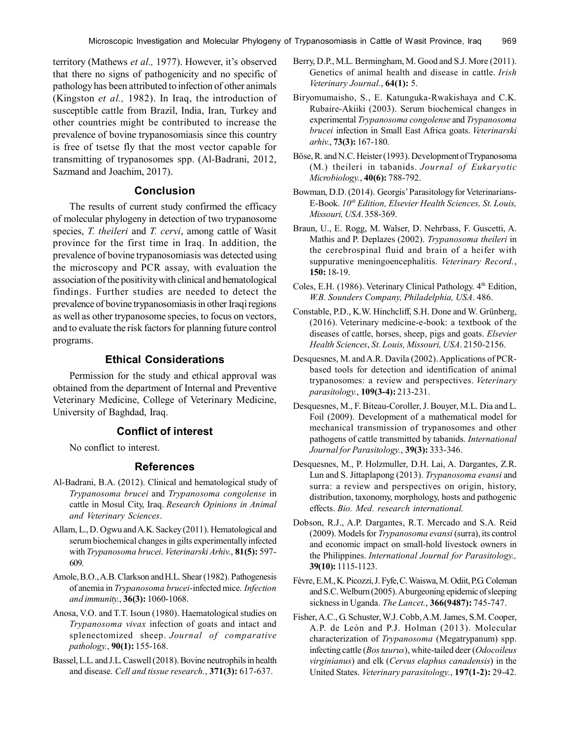territory (Mathews *et al.,* 1977). However, it's observed that there no signs of pathogenicity and no specific of pathology has been attributed to infection of other animals (Kingston *et al.,* 1982). In Iraq, the introduction of susceptible cattle from Brazil, India, Iran, Turkey and other countries might be contributed to increase the prevalence of bovine trypanosomiasis since this country is free of tsetse fly that the most vector capable for transmitting of trypanosomes spp. (Al-Badrani, 2012, Sazmand and Joachim, 2017).

# **Conclusion**

The results of current study confirmed the efficacy of molecular phylogeny in detection of two trypanosome species, *T. theileri* and *T. cervi*, among cattle of Wasit province for the first time in Iraq. In addition, the prevalence of bovine trypanosomiasis was detected using the microscopy and PCR assay, with evaluation the association of the positivity with clinical and hematological findings. Further studies are needed to detect the prevalence of bovine trypanosomiasis in other Iraqi regions as well as other trypanosome species, to focus on vectors, and to evaluate the risk factors for planning future control programs.

# **Ethical Considerations**

Permission for the study and ethical approval was obtained from the department of Internal and Preventive Veterinary Medicine, College of Veterinary Medicine, University of Baghdad, Iraq.

# **Conflict of interest**

No conflict to interest.

## **References**

- Al-Badrani, B.A. (2012). Clinical and hematological study of *Trypanosoma brucei* and *Trypanosoma congolense* in cattle in Mosul City, Iraq. *Research Opinions in Animal and Veterinary Sciences*.
- Allam, L., D. Ogwu and A.K. Sackey (2011). Hematological and serum biochemical changes in gilts experimentally infected with *Trypanosoma brucei*. *Veterinarski Arhiv.*, **81(5):** 597- 609.
- Amole, B.O., A.B. Clarkson and H.L. Shear (1982). Pathogenesis of anemia in *Trypanosoma brucei*-infected mice. *Infection and immunity.*, **36(3):** 1060-1068.
- Anosa, V.O. and T.T. Isoun (1980). Haematological studies on *Trypanosoma vivax* infection of goats and intact and splenectomized sheep. *Journal of comparative pathology.*, **90(1):** 155-168.
- Bassel, L.L. and J.L. Caswell (2018). Bovine neutrophils in health and disease. *Cell and tissue research.*, **371(3):** 617-637.
- Berry, D.P., M.L. Bermingham, M. Good and S.J. More (2011). Genetics of animal health and disease in cattle. *Irish Veterinary Journal.*, **64(1):** 5.
- Biryomumaisho, S., E. Katunguka-Rwakishaya and C.K. Rubaire-Akiiki (2003). Serum biochemical changes in experimental *Trypanosoma congolense* and *Trypanosoma brucei* infection in Small East Africa goats. *Veterinarski arhiv.*, **73(3):** 167-180.
- Böse, R. and N.C. Heister (1993). Development of Trypanosoma (M.) theileri in tabanids. *Journal of Eukaryotic Microbiology.*, **40(6):** 788-792.
- Bowman, D.D. (2014). Georgis' Parasitology for Veterinarians-E-Book. *10th Edition, Elsevier Health Sciences, St. Louis, Missouri, USA*. 358-369.
- Braun, U., E. Rogg, M. Walser, D. Nehrbass, F. Guscetti, A. Mathis and P. Deplazes (2002). *Trypanosoma theileri* in the cerebrospinal fluid and brain of a heifer with suppurative meningoencephalitis. *Veterinary Record.*, **150:** 18-19.
- Coles, E.H. (1986). Veterinary Clinical Pathology. 4<sup>th</sup> Edition, *W.B. Sounders Company, Philadelphia, USA*. 486.
- Constable, P.D., K.W. Hinchcliff, S.H. Done and W. Grünberg, (2016). Veterinary medicine-e-book: a textbook of the diseases of cattle, horses, sheep, pigs and goats. *Elsevier Health Sciences*, *St. Louis, Missouri, USA*. 2150-2156.
- Desquesnes, M. and A.R. Davila (2002). Applications of PCRbased tools for detection and identification of animal trypanosomes: a review and perspectives. *Veterinary parasitology.*, **109(3-4):** 213-231.
- Desquesnes, M., F. Biteau-Coroller, J. Bouyer, M.L. Dia and L. Foil (2009). Development of a mathematical model for mechanical transmission of trypanosomes and other pathogens of cattle transmitted by tabanids. *International Journal for Parasitology.*, **39(3):** 333-346.
- Desquesnes, M., P. Holzmuller, D.H. Lai, A. Dargantes, Z.R. Lun and S. Jittaplapong (2013). *Trypanosoma evansi* and surra: a review and perspectives on origin, history, distribution, taxonomy, morphology, hosts and pathogenic effects. *Bio. Med. research international.*
- Dobson, R.J., A.P. Dargantes, R.T. Mercado and S.A. Reid (2009). Models for *Trypanosoma evansi* (surra), its control and economic impact on small-hold livestock owners in the Philippines. *International Journal for Parasitology.,* **39(10):** 1115-1123.
- Fèvre, E.M., K. Picozzi, J. Fyfe, C. Waiswa, M. Odiit, P.G. Coleman and S.C. Welburn (2005). A burgeoning epidemic of sleeping sickness in Uganda. *The Lancet.*, **366(9487):** 745-747.
- Fisher, A.C., G. Schuster, W.J. Cobb, A.M. James, S.M. Cooper, A.P. de León and P.J. Holman (2013). Molecular characterization of *Trypanosoma* (Megatrypanum) spp. infecting cattle (*Bos taurus*), white-tailed deer (*Odocoileus virginianus*) and elk (*Cervus elaphus canadensis*) in the United States. *Veterinary parasitology.*, **197(1-2):** 29-42.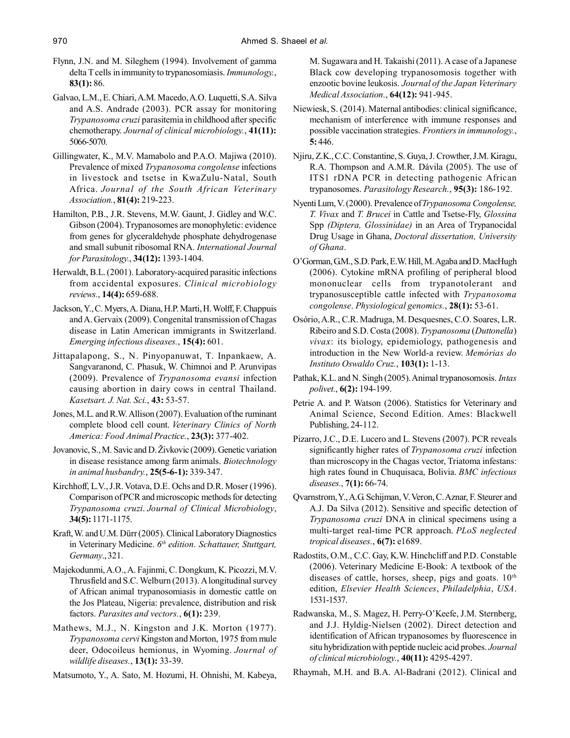- Flynn, J.N. and M. Sileghem (1994). Involvement of gamma delta T cells in immunity to trypanosomiasis. *Immunology.*, **83(1):** 86.
- Galvao, L.M., E. Chiari, A.M. Macedo, A.O. Luquetti, S.A. Silva and A.S. Andrade (2003). PCR assay for monitoring *Trypanosoma cruzi* parasitemia in childhood after specific chemotherapy. *Journal of clinical microbiology.*, **41(11):** 5066-5070.
- Gillingwater, K., M.V. Mamabolo and P.A.O. Majiwa (2010). Prevalence of mixed *Trypanosoma congolense* infections in livestock and tsetse in KwaZulu-Natal, South Africa. *Journal of the South African Veterinary Association.*, **81(4):** 219-223.
- Hamilton, P.B., J.R. Stevens, M.W. Gaunt, J. Gidley and W.C. Gibson (2004). Trypanosomes are monophyletic: evidence from genes for glyceraldehyde phosphate dehydrogenase and small subunit ribosomal RNA. *International Journal for Parasitology.*, **34(12):** 1393-1404.
- Herwaldt, B.L. (2001). Laboratory-acquired parasitic infections from accidental exposures. *Clinical microbiology reviews.*, **14(4):** 659-688.
- Jackson, Y., C. Myers, A. Diana, H.P. Marti, H. Wolff, F. Chappuis and A. Gervaix (2009). Congenital transmission of Chagas disease in Latin American immigrants in Switzerland. *Emerging infectious diseases.*, **15(4):** 601.
- Jittapalapong, S., N. Pinyopanuwat, T. Inpankaew, A. Sangvaranond, C. Phasuk, W. Chimnoi and P. Arunvipas (2009). Prevalence of *Trypanosoma evansi* infection causing abortion in dairy cows in central Thailand. *Kasetsart. J. Nat. Sci.*, **43:** 53-57.
- Jones, M.L. and R.W. Allison (2007). Evaluation of the ruminant complete blood cell count. *Veterinary Clinics of North America: Food Animal Practice.*, **23(3):** 377-402.
- Jovanovic, S., M. Savic and D. Živkovic (2009). Genetic variation in disease resistance among farm animals. *Biotechnology in animal husbandry.*, **25(5-6-1):** 339-347.
- Kirchhoff, L.V., J.R. Votava, D.E. Ochs and D.R. Moser (1996). Comparison of PCR and microscopic methods for detecting *Trypanosoma cruzi*. *Journal of Clinical Microbiology*, **34(5):** 1171-1175.
- Kraft, W. and U.M. Dürr (2005). Clinical Laboratory Diagnostics in Veterinary Medicine. *6 th edition. Schattauer, Stuttgart, Germany*., 321.
- Majekodunmi, A.O., A. Fajinmi, C. Dongkum, K. Picozzi, M.V. Thrusfield and S.C. Welburn (2013). A longitudinal survey of African animal trypanosomiasis in domestic cattle on the Jos Plateau, Nigeria: prevalence, distribution and risk factors. *Parasites and vectors.*, **6(1):** 239.
- Mathews, M.J., N. Kingston and J.K. Morton (1977). *Trypanosoma cervi* Kingston and Morton, 1975 from mule deer, Odocoileus hemionus, in Wyoming. *Journal of wildlife diseases.*, **13(1):** 33-39.
- Matsumoto, Y., A. Sato, M. Hozumi, H. Ohnishi, M. Kabeya,

M. Sugawara and H. Takaishi (2011). A case of a Japanese Black cow developing trypanosomosis together with enzootic bovine leukosis. *Journal of the Japan Veterinary Medical Association.*, **64(12):** 941-945.

- Niewiesk, S. (2014). Maternal antibodies: clinical significance, mechanism of interference with immune responses and possible vaccination strategies. *Frontiers in immunology.*, **5:** 446.
- Njiru, Z.K., C.C. Constantine, S. Guya, J. Crowther, J.M. Kiragu, R.A. Thompson and A.M.R. Dávila (2005). The use of ITS1 rDNA PCR in detecting pathogenic African trypanosomes. *Parasitology Research.*, **95(3):** 186-192.
- Nyenti Lum, V. (2000). Prevalence of *Trypanosoma Congolense, T. Vivax* and *T. Brucei* in Cattle and Tsetse-Fly, *Glossina* Spp *(Diptera, Glossinidae)* in an Area of Trypanocidal Drug Usage in Ghana, *Doctoral dissertation, University of Ghana*.
- O'Gorman, G.M., S.D. Park, E.W. Hill, M. Agaba and D. MacHugh (2006). Cytokine mRNA profiling of peripheral blood mononuclear cells from trypanotolerant and trypanosusceptible cattle infected with *Trypanosoma congolense*. *Physiological genomics.*, **28(1):** 53-61.
- Osório, A.R., C.R. Madruga, M. Desquesnes, C.O. Soares, L.R. Ribeiro and S.D. Costa (2008). *Trypanosoma* (*Duttonella*) *vivax*: its biology, epidemiology, pathogenesis and introduction in the New World-a review. *Memórias do Instituto Oswaldo Cruz.*, **103(1):** 1-13.
- Pathak, K.L. and N. Singh (2005). Animal trypanosomosis. *Intas polivet.*, **6(2):** 194-199.
- Petrie A. and P. Watson (2006). Statistics for Veterinary and Animal Science, Second Edition. Ames: Blackwell Publishing, 24-112.
- Pizarro, J.C., D.E. Lucero and L. Stevens (2007). PCR reveals significantly higher rates of *Trypanosoma cruzi* infection than microscopy in the Chagas vector, Triatoma infestans: high rates found in Chuquisaca, Bolivia. *BMC infectious diseases.*, **7(1):** 66-74.
- Qvarnstrom, Y., A.G. Schijman, V. Veron, C. Aznar, F. Steurer and A.J. Da Silva (2012). Sensitive and specific detection of *Trypanosoma cruzi* DNA in clinical specimens using a multi-target real-time PCR approach. *PLoS neglected tropical diseases.*, **6(7):** e1689.
- Radostits, O.M., C.C. Gay, K.W. Hinchcliff and P.D. Constable (2006). Veterinary Medicine E-Book: A textbook of the diseases of cattle, horses, sheep, pigs and goats.  $10<sup>th</sup>$ edition, *Elsevier Health Sciences*, *Philadelphia*, *USA*. 1531-1537.
- Radwanska, M., S. Magez, H. Perry-O'Keefe, J.M. Sternberg, and J.J. Hyldig-Nielsen (2002). Direct detection and identification of African trypanosomes by fluorescence in situ hybridization with peptide nucleic acid probes. *Journal of clinical microbiology.*, **40(11):** 4295-4297.
- Rhaymah, M.H. and B.A. Al-Badrani (2012). Clinical and